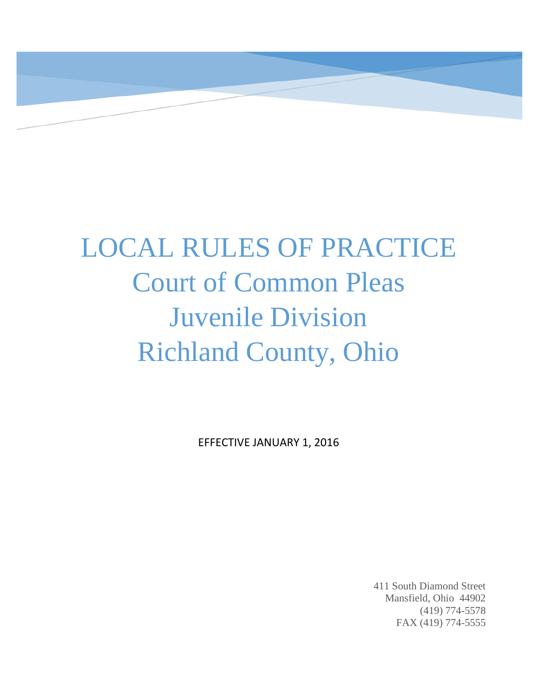

# LOCAL RULES OF PRACTICE Court of Common Pleas Juvenile Division Richland County, Ohio

EFFECTIVE JANUARY 1, 2016

411 South Diamond Street Mansfield, Ohio 44902 (419) 774-5578 FAX (419) 774-5555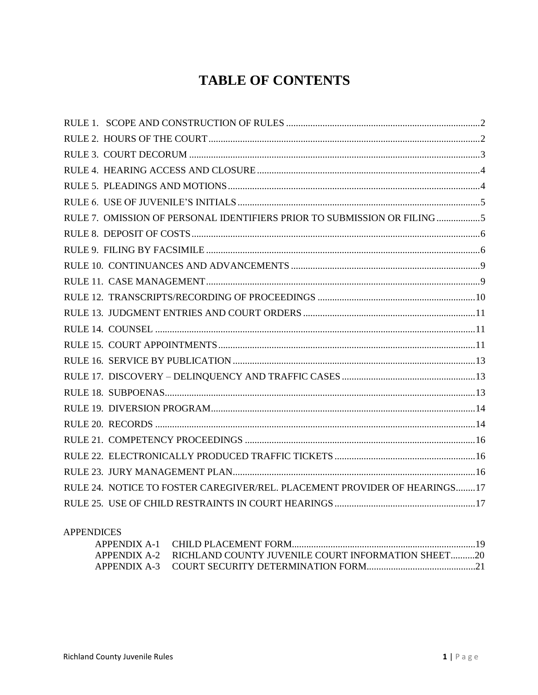# **TABLE OF CONTENTS**

| RULE 7. OMISSION OF PERSONAL IDENTIFIERS PRIOR TO SUBMISSION OR FILING 5  |  |
|---------------------------------------------------------------------------|--|
|                                                                           |  |
|                                                                           |  |
|                                                                           |  |
|                                                                           |  |
|                                                                           |  |
|                                                                           |  |
|                                                                           |  |
|                                                                           |  |
|                                                                           |  |
|                                                                           |  |
|                                                                           |  |
|                                                                           |  |
|                                                                           |  |
|                                                                           |  |
|                                                                           |  |
|                                                                           |  |
| RULE 24. NOTICE TO FOSTER CAREGIVER/REL. PLACEMENT PROVIDER OF HEARINGS17 |  |
|                                                                           |  |

#### **APPENDICES**

| APPENDIX A-2 RICHLAND COUNTY JUVENILE COURT INFORMATION SHEET20 |  |
|-----------------------------------------------------------------|--|
|                                                                 |  |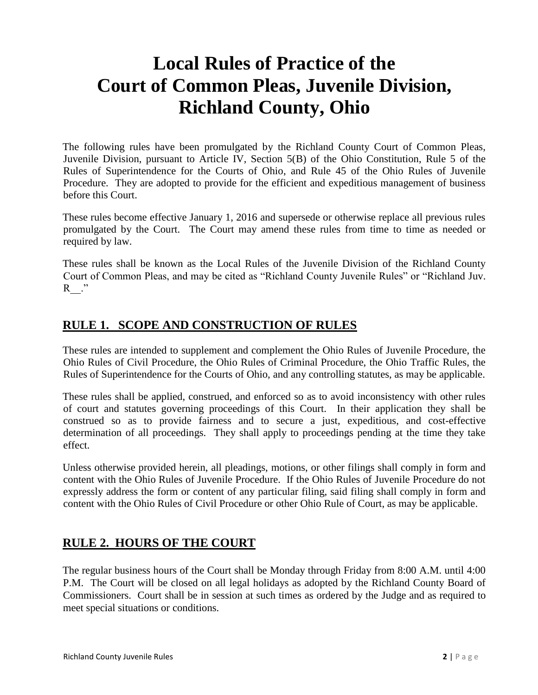# **Local Rules of Practice of the Court of Common Pleas, Juvenile Division, Richland County, Ohio**

The following rules have been promulgated by the Richland County Court of Common Pleas, Juvenile Division, pursuant to Article IV, Section 5(B) of the Ohio Constitution, Rule 5 of the Rules of Superintendence for the Courts of Ohio, and Rule 45 of the Ohio Rules of Juvenile Procedure. They are adopted to provide for the efficient and expeditious management of business before this Court.

These rules become effective January 1, 2016 and supersede or otherwise replace all previous rules promulgated by the Court. The Court may amend these rules from time to time as needed or required by law.

These rules shall be known as the Local Rules of the Juvenile Division of the Richland County Court of Common Pleas, and may be cited as "Richland County Juvenile Rules" or "Richland Juv.  $R$ <sup>"</sup>

### <span id="page-2-0"></span>**RULE 1. SCOPE AND CONSTRUCTION OF RULES**

These rules are intended to supplement and complement the Ohio Rules of Juvenile Procedure, the Ohio Rules of Civil Procedure, the Ohio Rules of Criminal Procedure, the Ohio Traffic Rules, the Rules of Superintendence for the Courts of Ohio, and any controlling statutes, as may be applicable.

These rules shall be applied, construed, and enforced so as to avoid inconsistency with other rules of court and statutes governing proceedings of this Court. In their application they shall be construed so as to provide fairness and to secure a just, expeditious, and cost-effective determination of all proceedings. They shall apply to proceedings pending at the time they take effect.

Unless otherwise provided herein, all pleadings, motions, or other filings shall comply in form and content with the Ohio Rules of Juvenile Procedure. If the Ohio Rules of Juvenile Procedure do not expressly address the form or content of any particular filing, said filing shall comply in form and content with the Ohio Rules of Civil Procedure or other Ohio Rule of Court, as may be applicable.

#### <span id="page-2-1"></span>**RULE 2. HOURS OF THE COURT**

The regular business hours of the Court shall be Monday through Friday from 8:00 A.M. until 4:00 P.M. The Court will be closed on all legal holidays as adopted by the Richland County Board of Commissioners. Court shall be in session at such times as ordered by the Judge and as required to meet special situations or conditions.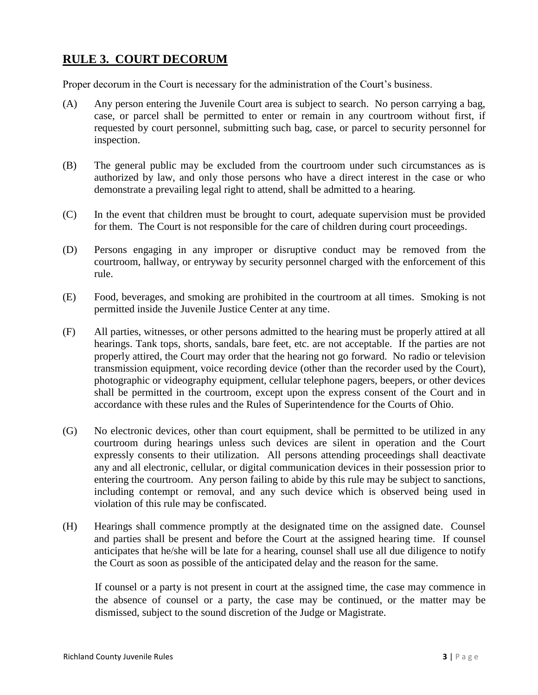# <span id="page-3-0"></span>**RULE 3. COURT DECORUM**

Proper decorum in the Court is necessary for the administration of the Court's business.

- (A) Any person entering the Juvenile Court area is subject to search. No person carrying a bag, case, or parcel shall be permitted to enter or remain in any courtroom without first, if requested by court personnel, submitting such bag, case, or parcel to security personnel for inspection.
- (B) The general public may be excluded from the courtroom under such circumstances as is authorized by law, and only those persons who have a direct interest in the case or who demonstrate a prevailing legal right to attend, shall be admitted to a hearing.
- (C) In the event that children must be brought to court, adequate supervision must be provided for them. The Court is not responsible for the care of children during court proceedings.
- (D) Persons engaging in any improper or disruptive conduct may be removed from the courtroom, hallway, or entryway by security personnel charged with the enforcement of this rule.
- (E) Food, beverages, and smoking are prohibited in the courtroom at all times. Smoking is not permitted inside the Juvenile Justice Center at any time.
- (F) All parties, witnesses, or other persons admitted to the hearing must be properly attired at all hearings. Tank tops, shorts, sandals, bare feet, etc. are not acceptable. If the parties are not properly attired, the Court may order that the hearing not go forward. No radio or television transmission equipment, voice recording device (other than the recorder used by the Court), photographic or videography equipment, cellular telephone pagers, beepers, or other devices shall be permitted in the courtroom, except upon the express consent of the Court and in accordance with these rules and the Rules of Superintendence for the Courts of Ohio.
- (G) No electronic devices, other than court equipment, shall be permitted to be utilized in any courtroom during hearings unless such devices are silent in operation and the Court expressly consents to their utilization. All persons attending proceedings shall deactivate any and all electronic, cellular, or digital communication devices in their possession prior to entering the courtroom. Any person failing to abide by this rule may be subject to sanctions, including contempt or removal, and any such device which is observed being used in violation of this rule may be confiscated.
- (H) Hearings shall commence promptly at the designated time on the assigned date. Counsel and parties shall be present and before the Court at the assigned hearing time. If counsel anticipates that he/she will be late for a hearing, counsel shall use all due diligence to notify the Court as soon as possible of the anticipated delay and the reason for the same.

If counsel or a party is not present in court at the assigned time, the case may commence in the absence of counsel or a party, the case may be continued, or the matter may be dismissed, subject to the sound discretion of the Judge or Magistrate.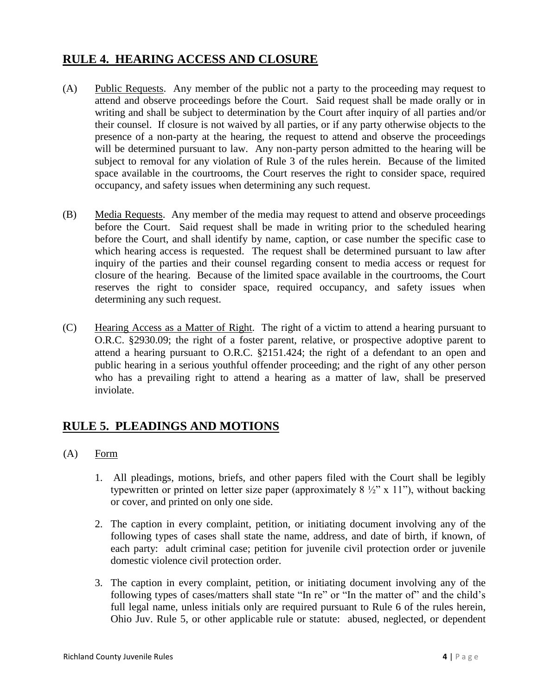# <span id="page-4-0"></span>**RULE 4. HEARING ACCESS AND CLOSURE**

- (A) Public Requests. Any member of the public not a party to the proceeding may request to attend and observe proceedings before the Court. Said request shall be made orally or in writing and shall be subject to determination by the Court after inquiry of all parties and/or their counsel. If closure is not waived by all parties, or if any party otherwise objects to the presence of a non-party at the hearing, the request to attend and observe the proceedings will be determined pursuant to law. Any non-party person admitted to the hearing will be subject to removal for any violation of Rule 3 of the rules herein. Because of the limited space available in the courtrooms, the Court reserves the right to consider space, required occupancy, and safety issues when determining any such request.
- (B) Media Requests. Any member of the media may request to attend and observe proceedings before the Court. Said request shall be made in writing prior to the scheduled hearing before the Court, and shall identify by name, caption, or case number the specific case to which hearing access is requested. The request shall be determined pursuant to law after inquiry of the parties and their counsel regarding consent to media access or request for closure of the hearing. Because of the limited space available in the courtrooms, the Court reserves the right to consider space, required occupancy, and safety issues when determining any such request.
- (C) Hearing Access as a Matter of Right. The right of a victim to attend a hearing pursuant to O.R.C. §2930.09; the right of a foster parent, relative, or prospective adoptive parent to attend a hearing pursuant to O.R.C. §2151.424; the right of a defendant to an open and public hearing in a serious youthful offender proceeding; and the right of any other person who has a prevailing right to attend a hearing as a matter of law, shall be preserved inviolate.

# <span id="page-4-1"></span>**RULE 5. PLEADINGS AND MOTIONS**

- (A) Form
	- 1. All pleadings, motions, briefs, and other papers filed with the Court shall be legibly typewritten or printed on letter size paper (approximately  $8\frac{1}{2}$ " x 11"), without backing or cover, and printed on only one side.
	- 2. The caption in every complaint, petition, or initiating document involving any of the following types of cases shall state the name, address, and date of birth, if known, of each party: adult criminal case; petition for juvenile civil protection order or juvenile domestic violence civil protection order.
	- 3. The caption in every complaint, petition, or initiating document involving any of the following types of cases/matters shall state "In re" or "In the matter of" and the child's full legal name, unless initials only are required pursuant to Rule 6 of the rules herein, Ohio Juv. Rule 5, or other applicable rule or statute: abused, neglected, or dependent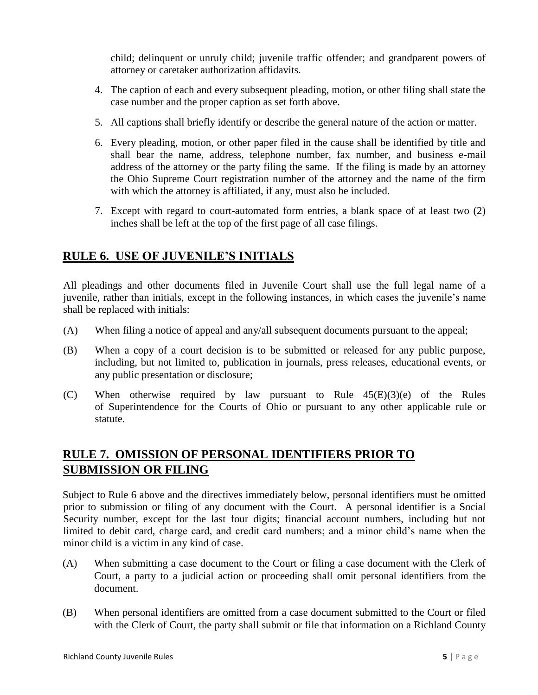child; delinquent or unruly child; juvenile traffic offender; and grandparent powers of attorney or caretaker authorization affidavits.

- 4. The caption of each and every subsequent pleading, motion, or other filing shall state the case number and the proper caption as set forth above.
- 5. All captions shall briefly identify or describe the general nature of the action or matter.
- 6. Every pleading, motion, or other paper filed in the cause shall be identified by title and shall bear the name, address, telephone number, fax number, and business e-mail address of the attorney or the party filing the same. If the filing is made by an attorney the Ohio Supreme Court registration number of the attorney and the name of the firm with which the attorney is affiliated, if any, must also be included.
- 7. Except with regard to court-automated form entries, a blank space of at least two (2) inches shall be left at the top of the first page of all case filings.

# <span id="page-5-0"></span>**RULE 6. USE OF JUVENILE'S INITIALS**

All pleadings and other documents filed in Juvenile Court shall use the full legal name of a juvenile, rather than initials, except in the following instances, in which cases the juvenile's name shall be replaced with initials:

- (A) When filing a notice of appeal and any/all subsequent documents pursuant to the appeal;
- (B) When a copy of a court decision is to be submitted or released for any public purpose, including, but not limited to, publication in journals, press releases, educational events, or any public presentation or disclosure;
- (C) When otherwise required by law pursuant to Rule  $45(E)(3)(e)$  of the Rules of Superintendence for the Courts of Ohio or pursuant to any other applicable rule or statute.

# <span id="page-5-1"></span>**RULE 7. OMISSION OF PERSONAL IDENTIFIERS PRIOR TO SUBMISSION OR FILING**

Subject to Rule 6 above and the directives immediately below, personal identifiers must be omitted prior to submission or filing of any document with the Court. A personal identifier is a Social Security number, except for the last four digits; financial account numbers, including but not limited to debit card, charge card, and credit card numbers; and a minor child's name when the minor child is a victim in any kind of case.

- (A) When submitting a case document to the Court or filing a case document with the Clerk of Court, a party to a judicial action or proceeding shall omit personal identifiers from the document.
- (B) When personal identifiers are omitted from a case document submitted to the Court or filed with the Clerk of Court, the party shall submit or file that information on a Richland County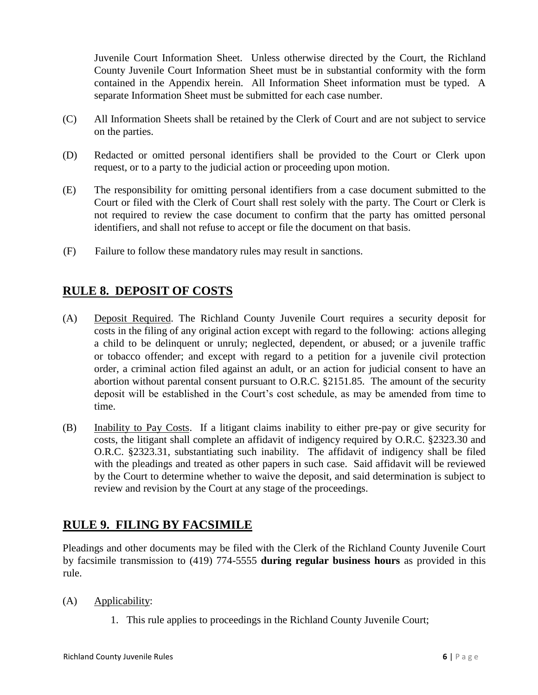Juvenile Court Information Sheet. Unless otherwise directed by the Court, the Richland County Juvenile Court Information Sheet must be in substantial conformity with the form contained in the Appendix herein. All Information Sheet information must be typed. A separate Information Sheet must be submitted for each case number.

- (C) All Information Sheets shall be retained by the Clerk of Court and are not subject to service on the parties.
- (D) Redacted or omitted personal identifiers shall be provided to the Court or Clerk upon request, or to a party to the judicial action or proceeding upon motion.
- (E) The responsibility for omitting personal identifiers from a case document submitted to the Court or filed with the Clerk of Court shall rest solely with the party. The Court or Clerk is not required to review the case document to confirm that the party has omitted personal identifiers, and shall not refuse to accept or file the document on that basis.
- (F) Failure to follow these mandatory rules may result in sanctions.

# <span id="page-6-0"></span>**RULE 8. DEPOSIT OF COSTS**

- (A) Deposit Required. The Richland County Juvenile Court requires a security deposit for costs in the filing of any original action except with regard to the following: actions alleging a child to be delinquent or unruly; neglected, dependent, or abused; or a juvenile traffic or tobacco offender; and except with regard to a petition for a juvenile civil protection order, a criminal action filed against an adult, or an action for judicial consent to have an abortion without parental consent pursuant to O.R.C. §2151.85. The amount of the security deposit will be established in the Court's cost schedule, as may be amended from time to time.
- (B) Inability to Pay Costs. If a litigant claims inability to either pre-pay or give security for costs, the litigant shall complete an affidavit of indigency required by O.R.C. §2323.30 and O.R.C. §2323.31, substantiating such inability. The affidavit of indigency shall be filed with the pleadings and treated as other papers in such case. Said affidavit will be reviewed by the Court to determine whether to waive the deposit, and said determination is subject to review and revision by the Court at any stage of the proceedings.

# <span id="page-6-1"></span>**RULE 9. FILING BY FACSIMILE**

Pleadings and other documents may be filed with the Clerk of the Richland County Juvenile Court by facsimile transmission to (419) 774-5555 **during regular business hours** as provided in this rule.

- (A) Applicability:
	- 1. This rule applies to proceedings in the Richland County Juvenile Court;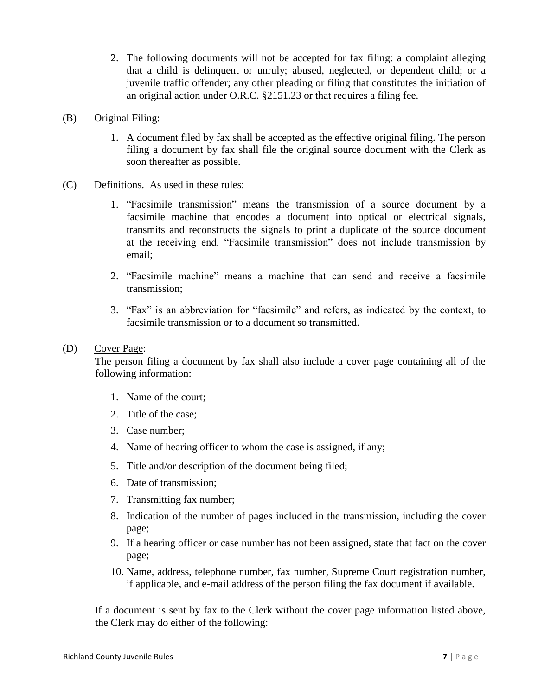2. The following documents will not be accepted for fax filing: a complaint alleging that a child is delinquent or unruly; abused, neglected, or dependent child; or a juvenile traffic offender; any other pleading or filing that constitutes the initiation of an original action under O.R.C. §2151.23 or that requires a filing fee.

#### (B) Original Filing:

- 1. A document filed by fax shall be accepted as the effective original filing. The person filing a document by fax shall file the original source document with the Clerk as soon thereafter as possible.
- (C) Definitions. As used in these rules:
	- 1. "Facsimile transmission" means the transmission of a source document by a facsimile machine that encodes a document into optical or electrical signals, transmits and reconstructs the signals to print a duplicate of the source document at the receiving end. "Facsimile transmission" does not include transmission by email;
	- 2. "Facsimile machine" means a machine that can send and receive a facsimile transmission;
	- 3. "Fax" is an abbreviation for "facsimile" and refers, as indicated by the context, to facsimile transmission or to a document so transmitted.

#### (D) Cover Page:

The person filing a document by fax shall also include a cover page containing all of the following information:

- 1. Name of the court;
- 2. Title of the case;
- 3. Case number;
- 4. Name of hearing officer to whom the case is assigned, if any;
- 5. Title and/or description of the document being filed;
- 6. Date of transmission;
- 7. Transmitting fax number;
- 8. Indication of the number of pages included in the transmission, including the cover page;
- 9. If a hearing officer or case number has not been assigned, state that fact on the cover page;
- 10. Name, address, telephone number, fax number, Supreme Court registration number, if applicable, and e-mail address of the person filing the fax document if available.

If a document is sent by fax to the Clerk without the cover page information listed above, the Clerk may do either of the following: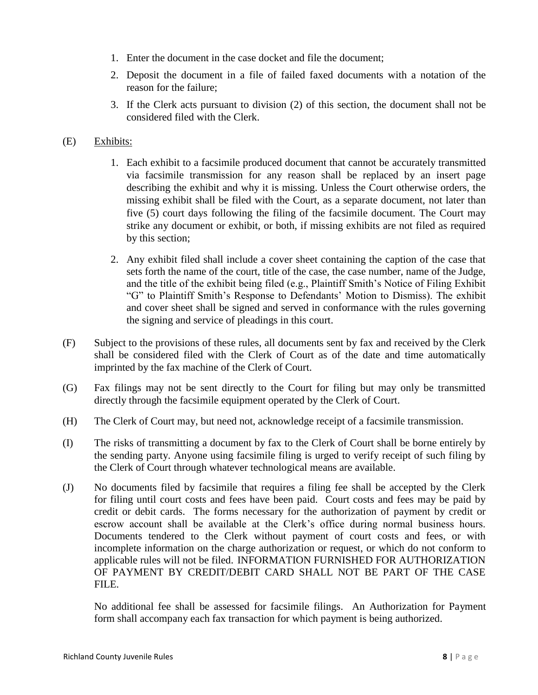- 1. Enter the document in the case docket and file the document;
- 2. Deposit the document in a file of failed faxed documents with a notation of the reason for the failure;
- 3. If the Clerk acts pursuant to division (2) of this section, the document shall not be considered filed with the Clerk.

#### (E) Exhibits:

- 1. Each exhibit to a facsimile produced document that cannot be accurately transmitted via facsimile transmission for any reason shall be replaced by an insert page describing the exhibit and why it is missing. Unless the Court otherwise orders, the missing exhibit shall be filed with the Court, as a separate document, not later than five (5) court days following the filing of the facsimile document. The Court may strike any document or exhibit, or both, if missing exhibits are not filed as required by this section;
- 2. Any exhibit filed shall include a cover sheet containing the caption of the case that sets forth the name of the court, title of the case, the case number, name of the Judge, and the title of the exhibit being filed (e.g., Plaintiff Smith's Notice of Filing Exhibit "G" to Plaintiff Smith's Response to Defendants' Motion to Dismiss). The exhibit and cover sheet shall be signed and served in conformance with the rules governing the signing and service of pleadings in this court.
- (F) Subject to the provisions of these rules, all documents sent by fax and received by the Clerk shall be considered filed with the Clerk of Court as of the date and time automatically imprinted by the fax machine of the Clerk of Court.
- (G) Fax filings may not be sent directly to the Court for filing but may only be transmitted directly through the facsimile equipment operated by the Clerk of Court.
- (H) The Clerk of Court may, but need not, acknowledge receipt of a facsimile transmission.
- (I) The risks of transmitting a document by fax to the Clerk of Court shall be borne entirely by the sending party. Anyone using facsimile filing is urged to verify receipt of such filing by the Clerk of Court through whatever technological means are available.
- (J) No documents filed by facsimile that requires a filing fee shall be accepted by the Clerk for filing until court costs and fees have been paid. Court costs and fees may be paid by credit or debit cards. The forms necessary for the authorization of payment by credit or escrow account shall be available at the Clerk's office during normal business hours. Documents tendered to the Clerk without payment of court costs and fees, or with incomplete information on the charge authorization or request, or which do not conform to applicable rules will not be filed. INFORMATION FURNISHED FOR AUTHORIZATION OF PAYMENT BY CREDIT/DEBIT CARD SHALL NOT BE PART OF THE CASE FILE.

No additional fee shall be assessed for facsimile filings. An Authorization for Payment form shall accompany each fax transaction for which payment is being authorized.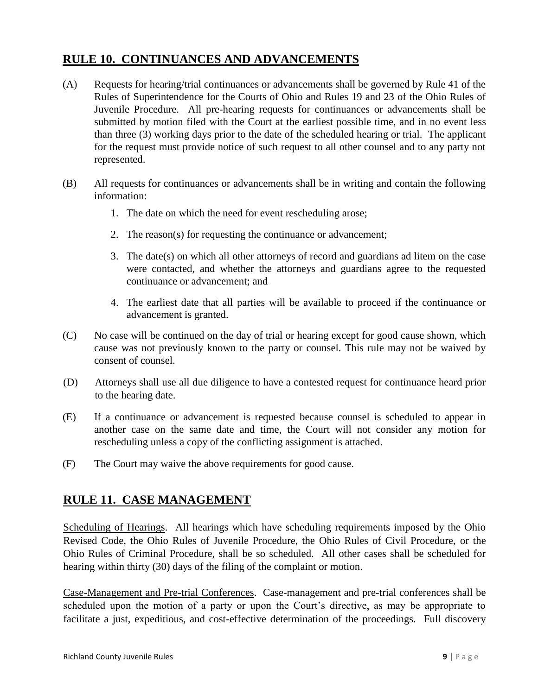# <span id="page-9-0"></span>**RULE 10. CONTINUANCES AND ADVANCEMENTS**

- (A) Requests for hearing/trial continuances or advancements shall be governed by Rule 41 of the Rules of Superintendence for the Courts of Ohio and Rules 19 and 23 of the Ohio Rules of Juvenile Procedure. All pre-hearing requests for continuances or advancements shall be submitted by motion filed with the Court at the earliest possible time, and in no event less than three (3) working days prior to the date of the scheduled hearing or trial. The applicant for the request must provide notice of such request to all other counsel and to any party not represented.
- (B) All requests for continuances or advancements shall be in writing and contain the following information:
	- 1. The date on which the need for event rescheduling arose;
	- 2. The reason(s) for requesting the continuance or advancement;
	- 3. The date(s) on which all other attorneys of record and guardians ad litem on the case were contacted, and whether the attorneys and guardians agree to the requested continuance or advancement; and
	- 4. The earliest date that all parties will be available to proceed if the continuance or advancement is granted.
- (C) No case will be continued on the day of trial or hearing except for good cause shown, which cause was not previously known to the party or counsel. This rule may not be waived by consent of counsel.
- (D) Attorneys shall use all due diligence to have a contested request for continuance heard prior to the hearing date.
- (E) If a continuance or advancement is requested because counsel is scheduled to appear in another case on the same date and time, the Court will not consider any motion for rescheduling unless a copy of the conflicting assignment is attached.
- (F) The Court may waive the above requirements for good cause.

#### <span id="page-9-1"></span>**RULE 11. CASE MANAGEMENT**

Scheduling of Hearings. All hearings which have scheduling requirements imposed by the Ohio Revised Code, the Ohio Rules of Juvenile Procedure, the Ohio Rules of Civil Procedure, or the Ohio Rules of Criminal Procedure, shall be so scheduled. All other cases shall be scheduled for hearing within thirty (30) days of the filing of the complaint or motion.

Case-Management and Pre-trial Conferences. Case-management and pre-trial conferences shall be scheduled upon the motion of a party or upon the Court's directive, as may be appropriate to facilitate a just, expeditious, and cost-effective determination of the proceedings. Full discovery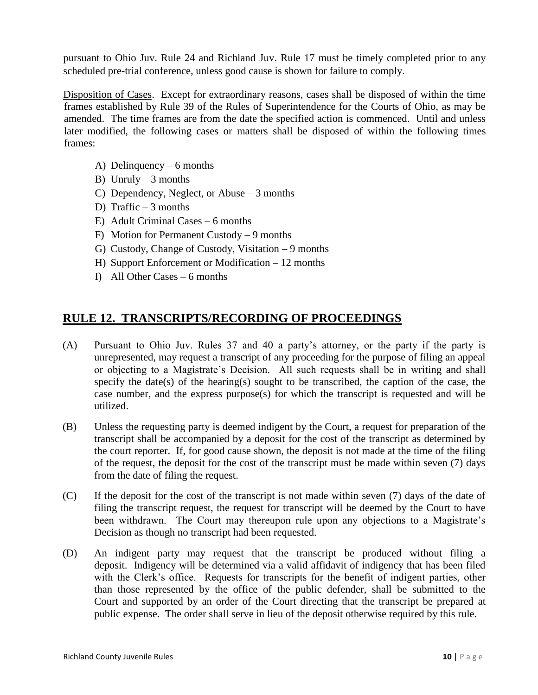pursuant to Ohio Juv. Rule 24 and Richland Juv. Rule 17 must be timely completed prior to any scheduled pre-trial conference, unless good cause is shown for failure to comply.

Disposition of Cases. Except for extraordinary reasons, cases shall be disposed of within the time frames established by Rule 39 of the Rules of Superintendence for the Courts of Ohio, as may be amended. The time frames are from the date the specified action is commenced. Until and unless later modified, the following cases or matters shall be disposed of within the following times frames:

- A) Delinquency 6 months
- B) Unruly  $-3$  months
- C) Dependency, Neglect, or Abuse 3 months
- D) Traffic 3 months
- E) Adult Criminal Cases 6 months
- F) Motion for Permanent Custody 9 months
- G) Custody, Change of Custody, Visitation 9 months
- H) Support Enforcement or Modification 12 months
- I) All Other Cases 6 months

#### <span id="page-10-0"></span>**RULE 12. TRANSCRIPTS/RECORDING OF PROCEEDINGS**

- (A) Pursuant to Ohio Juv. Rules 37 and 40 a party's attorney, or the party if the party is unrepresented, may request a transcript of any proceeding for the purpose of filing an appeal or objecting to a Magistrate's Decision. All such requests shall be in writing and shall specify the date(s) of the hearing(s) sought to be transcribed, the caption of the case, the case number, and the express purpose(s) for which the transcript is requested and will be utilized.
- (B) Unless the requesting party is deemed indigent by the Court, a request for preparation of the transcript shall be accompanied by a deposit for the cost of the transcript as determined by the court reporter. If, for good cause shown, the deposit is not made at the time of the filing of the request, the deposit for the cost of the transcript must be made within seven (7) days from the date of filing the request.
- (C) If the deposit for the cost of the transcript is not made within seven (7) days of the date of filing the transcript request, the request for transcript will be deemed by the Court to have been withdrawn. The Court may thereupon rule upon any objections to a Magistrate's Decision as though no transcript had been requested.
- (D) An indigent party may request that the transcript be produced without filing a deposit. Indigency will be determined via a valid affidavit of indigency that has been filed with the Clerk's office. Requests for transcripts for the benefit of indigent parties, other than those represented by the office of the public defender, shall be submitted to the Court and supported by an order of the Court directing that the transcript be prepared at public expense. The order shall serve in lieu of the deposit otherwise required by this rule.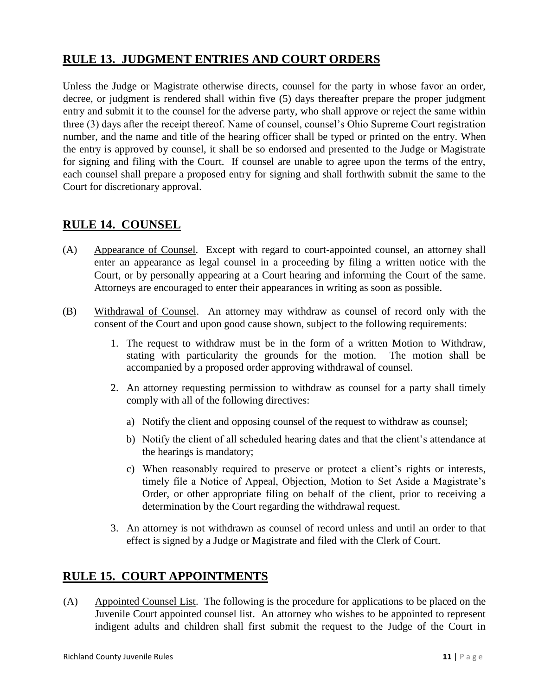# <span id="page-11-0"></span>**RULE 13. JUDGMENT ENTRIES AND COURT ORDERS**

Unless the Judge or Magistrate otherwise directs, counsel for the party in whose favor an order, decree, or judgment is rendered shall within five (5) days thereafter prepare the proper judgment entry and submit it to the counsel for the adverse party, who shall approve or reject the same within three (3) days after the receipt thereof. Name of counsel, counsel's Ohio Supreme Court registration number, and the name and title of the hearing officer shall be typed or printed on the entry. When the entry is approved by counsel, it shall be so endorsed and presented to the Judge or Magistrate for signing and filing with the Court. If counsel are unable to agree upon the terms of the entry, each counsel shall prepare a proposed entry for signing and shall forthwith submit the same to the Court for discretionary approval.

#### <span id="page-11-1"></span>**RULE 14. COUNSEL**

- (A) Appearance of Counsel. Except with regard to court-appointed counsel, an attorney shall enter an appearance as legal counsel in a proceeding by filing a written notice with the Court, or by personally appearing at a Court hearing and informing the Court of the same. Attorneys are encouraged to enter their appearances in writing as soon as possible.
- (B) Withdrawal of Counsel. An attorney may withdraw as counsel of record only with the consent of the Court and upon good cause shown, subject to the following requirements:
	- 1. The request to withdraw must be in the form of a written Motion to Withdraw, stating with particularity the grounds for the motion. The motion shall be accompanied by a proposed order approving withdrawal of counsel.
	- 2. An attorney requesting permission to withdraw as counsel for a party shall timely comply with all of the following directives:
		- a) Notify the client and opposing counsel of the request to withdraw as counsel;
		- b) Notify the client of all scheduled hearing dates and that the client's attendance at the hearings is mandatory;
		- c) When reasonably required to preserve or protect a client's rights or interests, timely file a Notice of Appeal, Objection, Motion to Set Aside a Magistrate's Order, or other appropriate filing on behalf of the client, prior to receiving a determination by the Court regarding the withdrawal request.
	- 3. An attorney is not withdrawn as counsel of record unless and until an order to that effect is signed by a Judge or Magistrate and filed with the Clerk of Court.

#### <span id="page-11-2"></span>**RULE 15. COURT APPOINTMENTS**

(A) Appointed Counsel List. The following is the procedure for applications to be placed on the Juvenile Court appointed counsel list. An attorney who wishes to be appointed to represent indigent adults and children shall first submit the request to the Judge of the Court in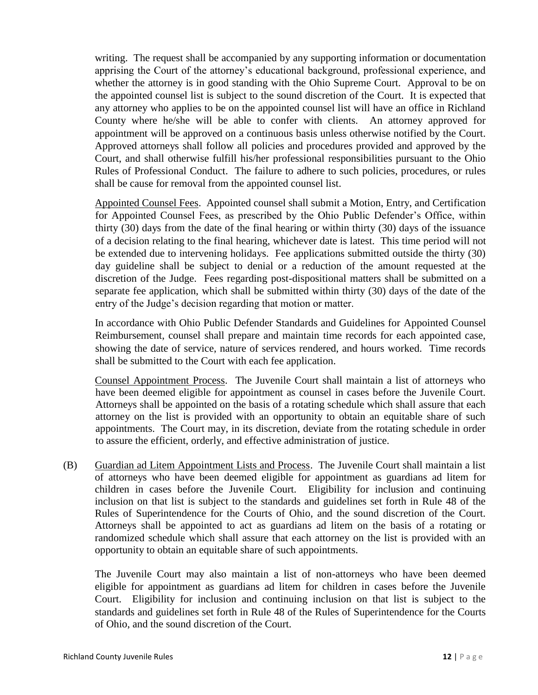writing. The request shall be accompanied by any supporting information or documentation apprising the Court of the attorney's educational background, professional experience, and whether the attorney is in good standing with the Ohio Supreme Court. Approval to be on the appointed counsel list is subject to the sound discretion of the Court. It is expected that any attorney who applies to be on the appointed counsel list will have an office in Richland County where he/she will be able to confer with clients. An attorney approved for appointment will be approved on a continuous basis unless otherwise notified by the Court. Approved attorneys shall follow all policies and procedures provided and approved by the Court, and shall otherwise fulfill his/her professional responsibilities pursuant to the Ohio Rules of Professional Conduct. The failure to adhere to such policies, procedures, or rules shall be cause for removal from the appointed counsel list.

Appointed Counsel Fees. Appointed counsel shall submit a Motion, Entry, and Certification for Appointed Counsel Fees, as prescribed by the Ohio Public Defender's Office, within thirty (30) days from the date of the final hearing or within thirty (30) days of the issuance of a decision relating to the final hearing, whichever date is latest. This time period will not be extended due to intervening holidays. Fee applications submitted outside the thirty (30) day guideline shall be subject to denial or a reduction of the amount requested at the discretion of the Judge. Fees regarding post-dispositional matters shall be submitted on a separate fee application, which shall be submitted within thirty (30) days of the date of the entry of the Judge's decision regarding that motion or matter.

In accordance with Ohio Public Defender Standards and Guidelines for Appointed Counsel Reimbursement, counsel shall prepare and maintain time records for each appointed case, showing the date of service, nature of services rendered, and hours worked. Time records shall be submitted to the Court with each fee application.

Counsel Appointment Process. The Juvenile Court shall maintain a list of attorneys who have been deemed eligible for appointment as counsel in cases before the Juvenile Court. Attorneys shall be appointed on the basis of a rotating schedule which shall assure that each attorney on the list is provided with an opportunity to obtain an equitable share of such appointments. The Court may, in its discretion, deviate from the rotating schedule in order to assure the efficient, orderly, and effective administration of justice.

(B) Guardian ad Litem Appointment Lists and Process. The Juvenile Court shall maintain a list of attorneys who have been deemed eligible for appointment as guardians ad litem for children in cases before the Juvenile Court. Eligibility for inclusion and continuing inclusion on that list is subject to the standards and guidelines set forth in Rule 48 of the Rules of Superintendence for the Courts of Ohio, and the sound discretion of the Court. Attorneys shall be appointed to act as guardians ad litem on the basis of a rotating or randomized schedule which shall assure that each attorney on the list is provided with an opportunity to obtain an equitable share of such appointments.

The Juvenile Court may also maintain a list of non-attorneys who have been deemed eligible for appointment as guardians ad litem for children in cases before the Juvenile Court. Eligibility for inclusion and continuing inclusion on that list is subject to the standards and guidelines set forth in Rule 48 of the Rules of Superintendence for the Courts of Ohio, and the sound discretion of the Court.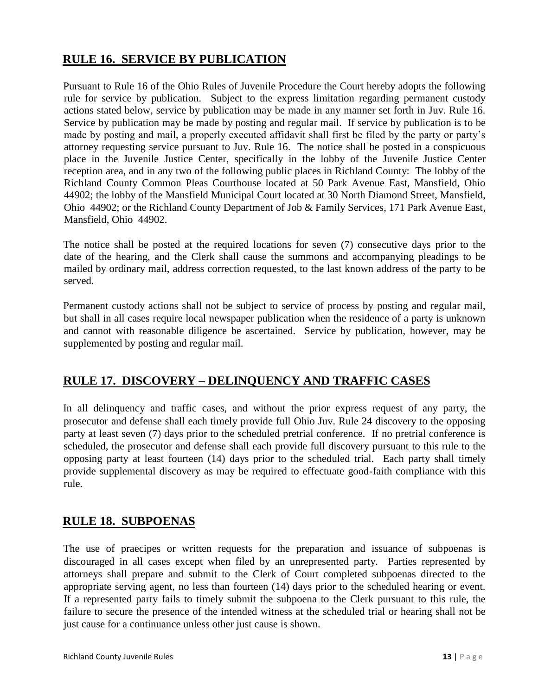# <span id="page-13-0"></span>**RULE 16. SERVICE BY PUBLICATION**

Pursuant to Rule 16 of the Ohio Rules of Juvenile Procedure the Court hereby adopts the following rule for service by publication. Subject to the express limitation regarding permanent custody actions stated below, service by publication may be made in any manner set forth in Juv. Rule 16. Service by publication may be made by posting and regular mail. If service by publication is to be made by posting and mail, a properly executed affidavit shall first be filed by the party or party's attorney requesting service pursuant to Juv. Rule 16. The notice shall be posted in a conspicuous place in the Juvenile Justice Center, specifically in the lobby of the Juvenile Justice Center reception area, and in any two of the following public places in Richland County: The lobby of the Richland County Common Pleas Courthouse located at 50 Park Avenue East, Mansfield, Ohio 44902; the lobby of the Mansfield Municipal Court located at 30 North Diamond Street, Mansfield, Ohio 44902; or the Richland County Department of Job & Family Services, 171 Park Avenue East, Mansfield, Ohio 44902.

The notice shall be posted at the required locations for seven (7) consecutive days prior to the date of the hearing, and the Clerk shall cause the summons and accompanying pleadings to be mailed by ordinary mail, address correction requested, to the last known address of the party to be served.

Permanent custody actions shall not be subject to service of process by posting and regular mail, but shall in all cases require local newspaper publication when the residence of a party is unknown and cannot with reasonable diligence be ascertained. Service by publication, however, may be supplemented by posting and regular mail.

#### <span id="page-13-1"></span>**RULE 17. DISCOVERY – DELINQUENCY AND TRAFFIC CASES**

In all delinquency and traffic cases, and without the prior express request of any party, the prosecutor and defense shall each timely provide full Ohio Juv. Rule 24 discovery to the opposing party at least seven (7) days prior to the scheduled pretrial conference. If no pretrial conference is scheduled, the prosecutor and defense shall each provide full discovery pursuant to this rule to the opposing party at least fourteen (14) days prior to the scheduled trial. Each party shall timely provide supplemental discovery as may be required to effectuate good-faith compliance with this rule.

#### <span id="page-13-2"></span>**RULE 18. SUBPOENAS**

The use of praecipes or written requests for the preparation and issuance of subpoenas is discouraged in all cases except when filed by an unrepresented party. Parties represented by attorneys shall prepare and submit to the Clerk of Court completed subpoenas directed to the appropriate serving agent, no less than fourteen (14) days prior to the scheduled hearing or event. If a represented party fails to timely submit the subpoena to the Clerk pursuant to this rule, the failure to secure the presence of the intended witness at the scheduled trial or hearing shall not be just cause for a continuance unless other just cause is shown.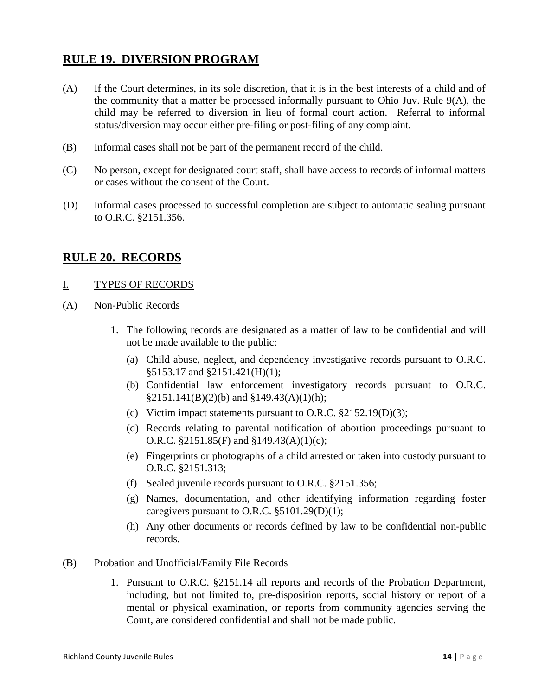### <span id="page-14-0"></span>**RULE 19. DIVERSION PROGRAM**

- (A) If the Court determines, in its sole discretion, that it is in the best interests of a child and of the community that a matter be processed informally pursuant to Ohio Juv. Rule 9(A), the child may be referred to diversion in lieu of formal court action. Referral to informal status/diversion may occur either pre-filing or post-filing of any complaint.
- (B) Informal cases shall not be part of the permanent record of the child.
- (C) No person, except for designated court staff, shall have access to records of informal matters or cases without the consent of the Court.
- (D) Informal cases processed to successful completion are subject to automatic sealing pursuant to O.R.C. §2151.356.

#### <span id="page-14-1"></span>**RULE 20. RECORDS**

#### I. TYPES OF RECORDS

- (A) Non-Public Records
	- 1. The following records are designated as a matter of law to be confidential and will not be made available to the public:
		- (a) Child abuse, neglect, and dependency investigative records pursuant to O.R.C. §5153.17 and §2151.421(H)(1);
		- (b) Confidential law enforcement investigatory records pursuant to O.R.C.  $§2151.141(B)(2)(b)$  and  $§149.43(A)(1)(h);$
		- (c) Victim impact statements pursuant to O.R.C. §2152.19(D)(3);
		- (d) Records relating to parental notification of abortion proceedings pursuant to O.R.C. §2151.85(F) and §149.43(A)(1)(c);
		- (e) Fingerprints or photographs of a child arrested or taken into custody pursuant to O.R.C. §2151.313;
		- (f) Sealed juvenile records pursuant to O.R.C. §2151.356;
		- (g) Names, documentation, and other identifying information regarding foster caregivers pursuant to O.R.C. §5101.29(D)(1);
		- (h) Any other documents or records defined by law to be confidential non-public records.
- (B) Probation and Unofficial/Family File Records
	- 1. Pursuant to O.R.C. §2151.14 all reports and records of the Probation Department, including, but not limited to, pre-disposition reports, social history or report of a mental or physical examination, or reports from community agencies serving the Court, are considered confidential and shall not be made public.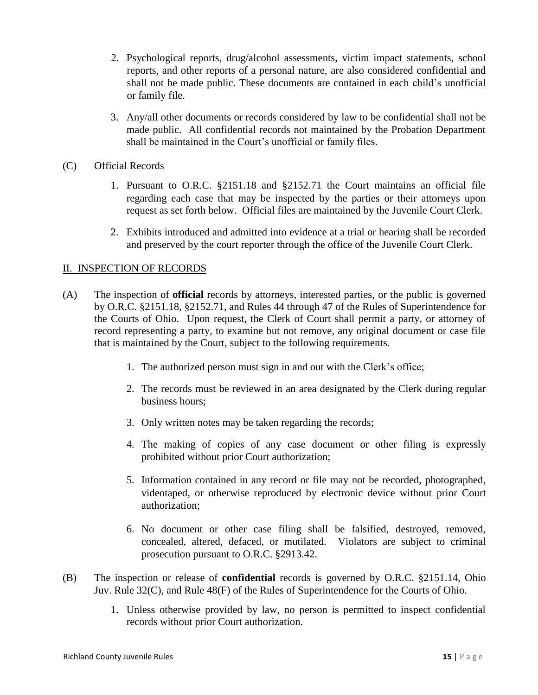- 2. Psychological reports, drug/alcohol assessments, victim impact statements, school reports, and other reports of a personal nature, are also considered confidential and shall not be made public. These documents are contained in each child's unofficial or family file.
- 3. Any/all other documents or records considered by law to be confidential shall not be made public. All confidential records not maintained by the Probation Department shall be maintained in the Court's unofficial or family files.
- (C) Official Records
	- 1. Pursuant to O.R.C. §2151.18 and §2152.71 the Court maintains an official file regarding each case that may be inspected by the parties or their attorneys upon request as set forth below. Official files are maintained by the Juvenile Court Clerk.
	- 2. Exhibits introduced and admitted into evidence at a trial or hearing shall be recorded and preserved by the court reporter through the office of the Juvenile Court Clerk.

#### II. INSPECTION OF RECORDS

- (A) The inspection of **official** records by attorneys, interested parties, or the public is governed by O.R.C. §2151.18, §2152.71, and Rules 44 through 47 of the Rules of Superintendence for the Courts of Ohio. Upon request, the Clerk of Court shall permit a party, or attorney of record representing a party, to examine but not remove, any original document or case file that is maintained by the Court, subject to the following requirements.
	- 1. The authorized person must sign in and out with the Clerk's office;
	- 2. The records must be reviewed in an area designated by the Clerk during regular business hours;
	- 3. Only written notes may be taken regarding the records;
	- 4. The making of copies of any case document or other filing is expressly prohibited without prior Court authorization;
	- 5. Information contained in any record or file may not be recorded, photographed, videotaped, or otherwise reproduced by electronic device without prior Court authorization;
	- 6. No document or other case filing shall be falsified, destroyed, removed, concealed, altered, defaced, or mutilated. Violators are subject to criminal prosecution pursuant to O.R.C. §2913.42.
- (B) The inspection or release of **confidential** records is governed by O.R.C. §2151.14, Ohio Juv. Rule 32(C), and Rule 48(F) of the Rules of Superintendence for the Courts of Ohio.
	- 1. Unless otherwise provided by law, no person is permitted to inspect confidential records without prior Court authorization.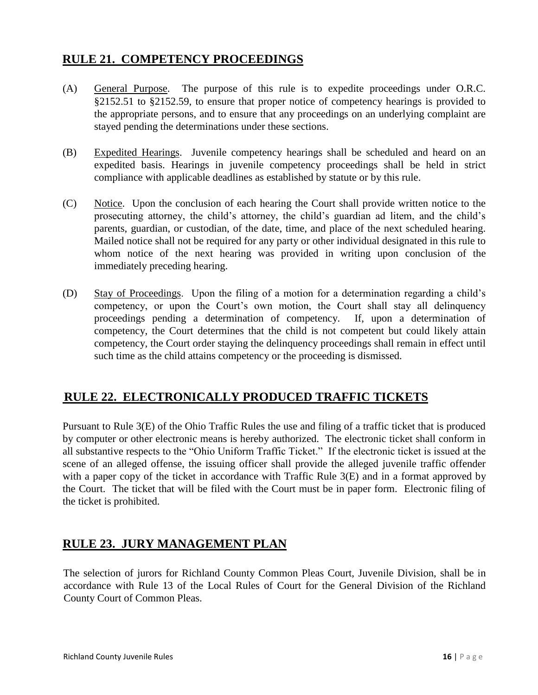#### <span id="page-16-0"></span> **RULE 21. COMPETENCY PROCEEDINGS**

- (A) General Purpose. The purpose of this rule is to expedite proceedings under O.R.C. §2152.51 to §2152.59, to ensure that proper notice of competency hearings is provided to the appropriate persons, and to ensure that any proceedings on an underlying complaint are stayed pending the determinations under these sections.
- (B) Expedited Hearings. Juvenile competency hearings shall be scheduled and heard on an expedited basis. Hearings in juvenile competency proceedings shall be held in strict compliance with applicable deadlines as established by statute or by this rule.
- (C) Notice. Upon the conclusion of each hearing the Court shall provide written notice to the prosecuting attorney, the child's attorney, the child's guardian ad litem, and the child's parents, guardian, or custodian, of the date, time, and place of the next scheduled hearing. Mailed notice shall not be required for any party or other individual designated in this rule to whom notice of the next hearing was provided in writing upon conclusion of the immediately preceding hearing.
- (D) Stay of Proceedings. Upon the filing of a motion for a determination regarding a child's competency, or upon the Court's own motion, the Court shall stay all delinquency proceedings pending a determination of competency. If, upon a determination of competency, the Court determines that the child is not competent but could likely attain competency, the Court order staying the delinquency proceedings shall remain in effect until such time as the child attains competency or the proceeding is dismissed.

# <span id="page-16-1"></span>**RULE 22. ELECTRONICALLY PRODUCED TRAFFIC TICKETS**

Pursuant to Rule 3(E) of the Ohio Traffic Rules the use and filing of a traffic ticket that is produced by computer or other electronic means is hereby authorized. The electronic ticket shall conform in all substantive respects to the "Ohio Uniform Traffic Ticket." If the electronic ticket is issued at the scene of an alleged offense, the issuing officer shall provide the alleged juvenile traffic offender with a paper copy of the ticket in accordance with Traffic Rule 3(E) and in a format approved by the Court. The ticket that will be filed with the Court must be in paper form. Electronic filing of the ticket is prohibited.

#### <span id="page-16-2"></span>**RULE 23. JURY MANAGEMENT PLAN**

The selection of jurors for Richland County Common Pleas Court, Juvenile Division, shall be in accordance with Rule 13 of the Local Rules of Court for the General Division of the Richland County Court of Common Pleas.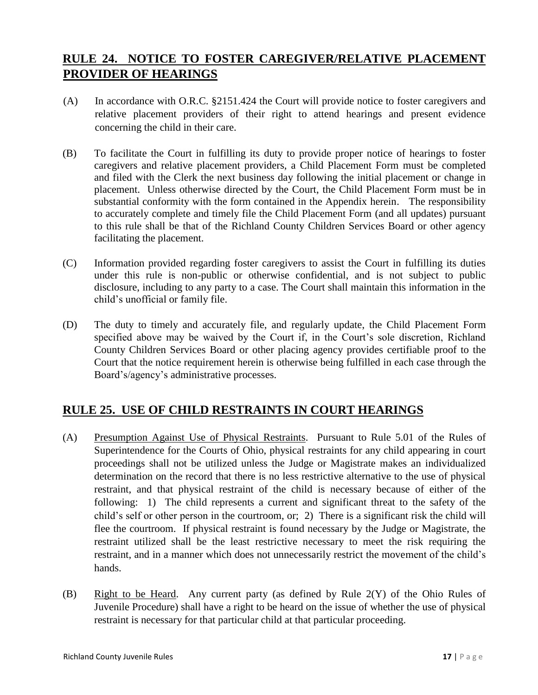### <span id="page-17-0"></span>**RULE 24. NOTICE TO FOSTER CAREGIVER/RELATIVE PLACEMENT PROVIDER OF HEARINGS**

- (A) In accordance with O.R.C. §2151.424 the Court will provide notice to foster caregivers and relative placement providers of their right to attend hearings and present evidence concerning the child in their care.
- (B) To facilitate the Court in fulfilling its duty to provide proper notice of hearings to foster caregivers and relative placement providers, a Child Placement Form must be completed and filed with the Clerk the next business day following the initial placement or change in placement. Unless otherwise directed by the Court, the Child Placement Form must be in substantial conformity with the form contained in the Appendix herein. The responsibility to accurately complete and timely file the Child Placement Form (and all updates) pursuant to this rule shall be that of the Richland County Children Services Board or other agency facilitating the placement.
- (C) Information provided regarding foster caregivers to assist the Court in fulfilling its duties under this rule is non-public or otherwise confidential, and is not subject to public disclosure, including to any party to a case. The Court shall maintain this information in the child's unofficial or family file.
- (D) The duty to timely and accurately file, and regularly update, the Child Placement Form specified above may be waived by the Court if, in the Court's sole discretion, Richland County Children Services Board or other placing agency provides certifiable proof to the Court that the notice requirement herein is otherwise being fulfilled in each case through the Board's/agency's administrative processes.

# <span id="page-17-1"></span>**RULE 25. USE OF CHILD RESTRAINTS IN COURT HEARINGS**

- (A) Presumption Against Use of Physical Restraints. Pursuant to Rule 5.01 of the Rules of Superintendence for the Courts of Ohio, physical restraints for any child appearing in court proceedings shall not be utilized unless the Judge or Magistrate makes an individualized determination on the record that there is no less restrictive alternative to the use of physical restraint, and that physical restraint of the child is necessary because of either of the following: 1) The child represents a current and significant threat to the safety of the child's self or other person in the courtroom, or; 2) There is a significant risk the child will flee the courtroom. If physical restraint is found necessary by the Judge or Magistrate, the restraint utilized shall be the least restrictive necessary to meet the risk requiring the restraint, and in a manner which does not unnecessarily restrict the movement of the child's hands.
- (B) Right to be Heard. Any current party (as defined by Rule 2(Y) of the Ohio Rules of Juvenile Procedure) shall have a right to be heard on the issue of whether the use of physical restraint is necessary for that particular child at that particular proceeding.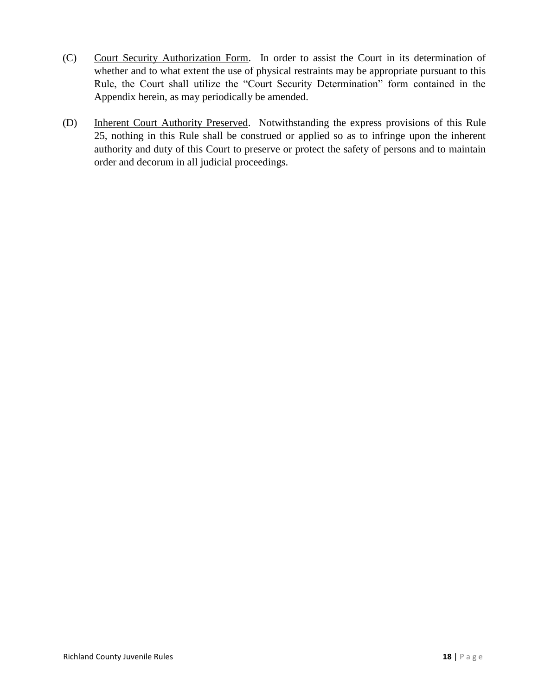- (C) Court Security Authorization Form. In order to assist the Court in its determination of whether and to what extent the use of physical restraints may be appropriate pursuant to this Rule, the Court shall utilize the "Court Security Determination" form contained in the Appendix herein, as may periodically be amended.
- (D) Inherent Court Authority Preserved. Notwithstanding the express provisions of this Rule 25, nothing in this Rule shall be construed or applied so as to infringe upon the inherent authority and duty of this Court to preserve or protect the safety of persons and to maintain order and decorum in all judicial proceedings.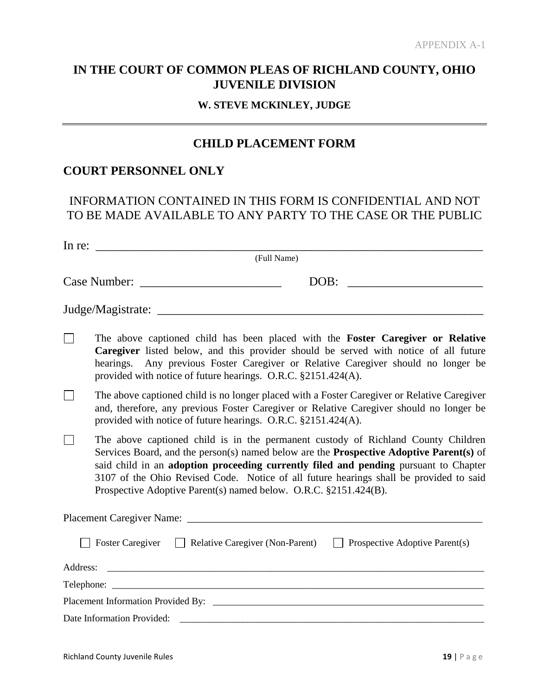### **IN THE COURT OF COMMON PLEAS OF RICHLAND COUNTY, OHIO JUVENILE DIVISION**

#### **W. STEVE MCKINLEY, JUDGE**

#### **CHILD PLACEMENT FORM**

#### **COURT PERSONNEL ONLY**

#### INFORMATION CONTAINED IN THIS FORM IS CONFIDENTIAL AND NOT TO BE MADE AVAILABLE TO ANY PARTY TO THE CASE OR THE PUBLIC

In re: \_\_\_\_\_\_\_\_\_\_\_\_\_\_\_\_\_\_\_\_\_\_\_\_\_\_\_\_\_\_\_\_\_\_\_\_\_\_\_\_\_\_\_\_\_\_\_\_\_\_\_\_\_\_\_\_\_\_\_\_\_\_\_

(Full Name)

| Case Number: | --<br>ж |  |
|--------------|---------|--|
|              |         |  |

Judge/Magistrate: \_\_\_\_\_\_\_\_\_\_\_\_\_\_\_\_\_\_\_\_\_\_\_\_\_\_\_\_\_\_\_\_\_\_\_\_\_\_\_\_\_\_\_\_\_\_\_\_\_\_\_\_\_

 $\Box$ The above captioned child has been placed with the **Foster Caregiver or Relative Caregiver** listed below, and this provider should be served with notice of all future hearings. Any previous Foster Caregiver or Relative Caregiver should no longer be provided with notice of future hearings. O.R.C. §2151.424(A).

- $\Box$ The above captioned child is no longer placed with a Foster Caregiver or Relative Caregiver and, therefore, any previous Foster Caregiver or Relative Caregiver should no longer be provided with notice of future hearings. O.R.C. §2151.424(A).
- $\Box$ The above captioned child is in the permanent custody of Richland County Children Services Board, and the person(s) named below are the **Prospective Adoptive Parent(s)** of said child in an **adoption proceeding currently filed and pending** pursuant to Chapter 3107 of the Ohio Revised Code. Notice of all future hearings shall be provided to said Prospective Adoptive Parent(s) named below. O.R.C. §2151.424(B).

| Placement Caregiver Name:                                                             |  |
|---------------------------------------------------------------------------------------|--|
| □ Foster Caregiver □ Relative Caregiver (Non-Parent) □ Prospective Adoptive Parent(s) |  |
|                                                                                       |  |
|                                                                                       |  |
|                                                                                       |  |
|                                                                                       |  |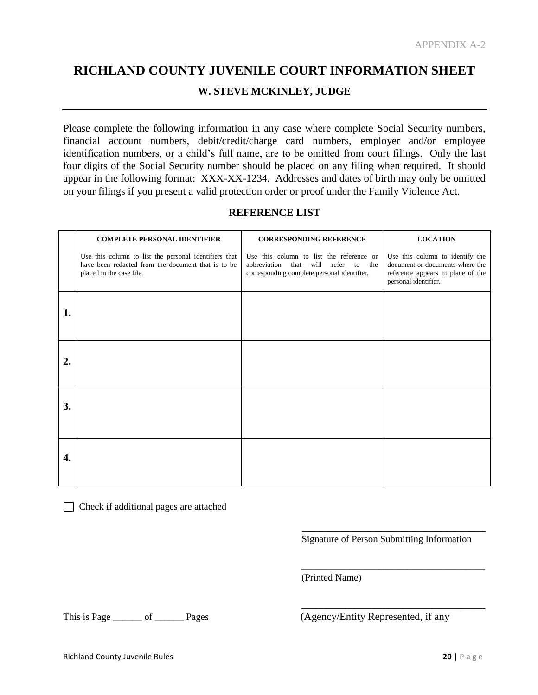# **RICHLAND COUNTY JUVENILE COURT INFORMATION SHEET**

#### **W. STEVE MCKINLEY, JUDGE**

Please complete the following information in any case where complete Social Security numbers, financial account numbers, debit/credit/charge card numbers, employer and/or employee identification numbers, or a child's full name, are to be omitted from court filings. Only the last four digits of the Social Security number should be placed on any filing when required. It should appear in the following format: XXX-XX-1234. Addresses and dates of birth may only be omitted on your filings if you present a valid protection order or proof under the Family Violence Act.

#### **REFERENCE LIST**

|    | <b>COMPLETE PERSONAL IDENTIFIER</b>                                                                                                     | <b>CORRESPONDING REFERENCE</b>                                                                                                             | <b>LOCATION</b>                                                                                                                 |
|----|-----------------------------------------------------------------------------------------------------------------------------------------|--------------------------------------------------------------------------------------------------------------------------------------------|---------------------------------------------------------------------------------------------------------------------------------|
|    | Use this column to list the personal identifiers that<br>have been redacted from the document that is to be<br>placed in the case file. | Use this column to list the reference or<br>abbreviation<br>that<br>will<br>refer<br>to the<br>corresponding complete personal identifier. | Use this column to identify the<br>document or documents where the<br>reference appears in place of the<br>personal identifier. |
| 1. |                                                                                                                                         |                                                                                                                                            |                                                                                                                                 |
| 2. |                                                                                                                                         |                                                                                                                                            |                                                                                                                                 |
| 3. |                                                                                                                                         |                                                                                                                                            |                                                                                                                                 |
| 4. |                                                                                                                                         |                                                                                                                                            |                                                                                                                                 |

Check if additional pages are attached

 **\_\_\_\_\_\_\_\_\_\_\_\_\_\_\_\_\_\_\_\_\_\_\_\_\_\_\_\_\_\_\_\_\_\_\_\_\_\_** Signature of Person Submitting Information

**\_\_\_\_\_\_\_\_\_\_\_\_\_\_\_\_\_\_\_\_\_\_\_\_\_\_\_\_\_\_\_\_\_\_\_\_\_\_**

**\_\_\_\_\_\_\_\_\_\_\_\_\_\_\_\_\_\_\_\_\_\_\_\_\_\_\_\_\_\_\_\_\_\_\_\_\_\_**

(Printed Name)

This is Page \_\_\_\_\_\_ of \_\_\_\_\_\_ Pages (Agency/Entity Represented, if any